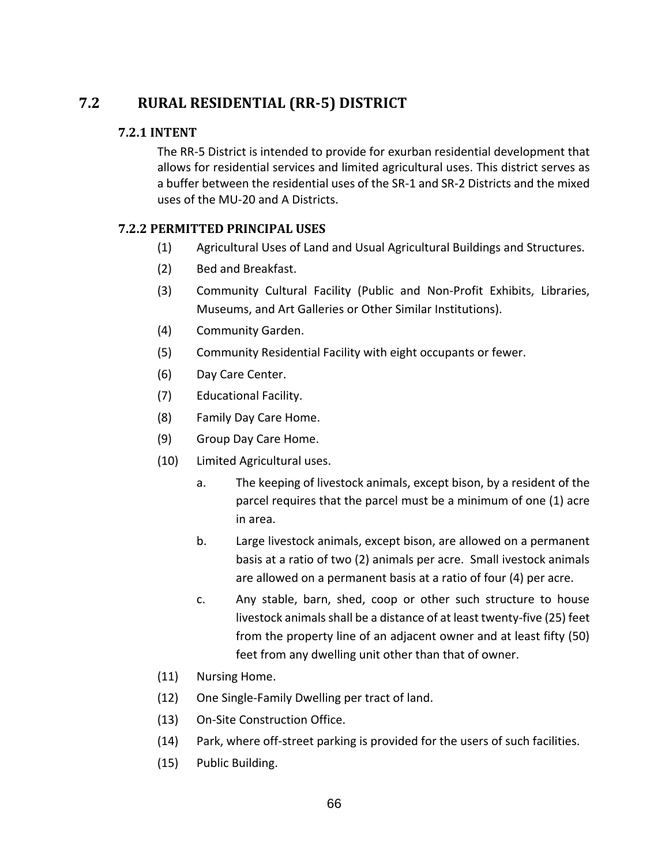# **7.2 RURAL RESIDENTIAL (RR-5) DISTRICT**

### **7.2.1 INTENT**

The RR-5 District is intended to provide for exurban residential development that allows for residential services and limited agricultural uses. This district serves as a buffer between the residential uses of the SR-1 and SR-2 Districts and the mixed uses of the MU-20 and A Districts.

### **7.2.2 PERMITTED PRINCIPAL USES**

- (1) Agricultural Uses of Land and Usual Agricultural Buildings and Structures.
- (2) Bed and Breakfast.
- (3) Community Cultural Facility (Public and Non-Profit Exhibits, Libraries, Museums, and Art Galleries or Other Similar Institutions).
- (4) Community Garden.
- (5) Community Residential Facility with eight occupants or fewer.
- (6) Day Care Center.
- (7) Educational Facility.
- (8) Family Day Care Home.
- (9) Group Day Care Home.
- (10) Limited Agricultural uses.
	- a. The keeping of livestock animals, except bison, by a resident of the parcel requires that the parcel must be a minimum of one (1) acre in area.
	- b. Large livestock animals, except bison, are allowed on a permanent basis at a ratio of two (2) animals per acre. Small ivestock animals are allowed on a permanent basis at a ratio of four (4) per acre.
	- c. Any stable, barn, shed, coop or other such structure to house livestock animals shall be a distance of at least twenty-five (25) feet from the property line of an adjacent owner and at least fifty (50) feet from any dwelling unit other than that of owner.
- (11) Nursing Home.
- (12) One Single-Family Dwelling per tract of land.
- (13) On-Site Construction Office.
- (14) Park, where off-street parking is provided for the users of such facilities.
- (15) Public Building.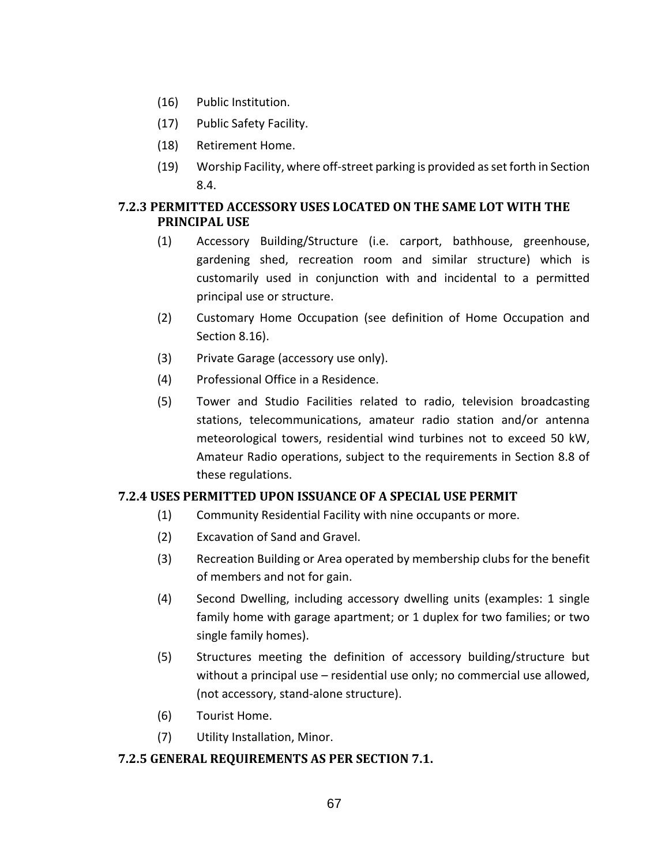- (16) Public Institution.
- (17) Public Safety Facility.
- (18) Retirement Home.
- (19) Worship Facility, where off-street parking is provided as set forth in Section 8.4.

### **7.2.3 PERMITTED ACCESSORY USES LOCATED ON THE SAME LOT WITH THE PRINCIPAL USE**

- (1) Accessory Building/Structure (i.e. carport, bathhouse, greenhouse, gardening shed, recreation room and similar structure) which is customarily used in conjunction with and incidental to a permitted principal use or structure.
- (2) Customary Home Occupation (see definition of Home Occupation and Section 8.16).
- (3) Private Garage (accessory use only).
- (4) Professional Office in a Residence.
- (5) Tower and Studio Facilities related to radio, television broadcasting stations, telecommunications, amateur radio station and/or antenna meteorological towers, residential wind turbines not to exceed 50 kW, Amateur Radio operations, subject to the requirements in Section 8.8 of these regulations.

### **7.2.4 USES PERMITTED UPON ISSUANCE OF A SPECIAL USE PERMIT**

- (1) Community Residential Facility with nine occupants or more.
- (2) Excavation of Sand and Gravel.
- (3) Recreation Building or Area operated by membership clubs for the benefit of members and not for gain.
- (4) Second Dwelling, including accessory dwelling units (examples: 1 single family home with garage apartment; or 1 duplex for two families; or two single family homes).
- (5) Structures meeting the definition of accessory building/structure but without a principal use – residential use only; no commercial use allowed, (not accessory, stand-alone structure).
- (6) Tourist Home.
- (7) Utility Installation, Minor.

#### **7.2.5 GENERAL REQUIREMENTS AS PER SECTION 7.1.**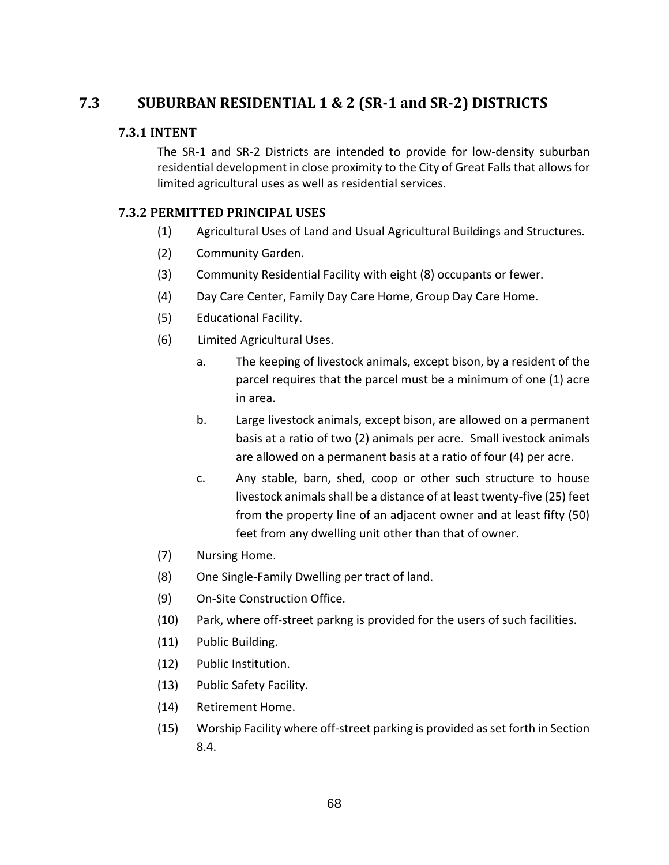## **7.3 SUBURBAN RESIDENTIAL 1 & 2 (SR-1 and SR-2) DISTRICTS**

#### **7.3.1 INTENT**

The SR-1 and SR-2 Districts are intended to provide for low-density suburban residential development in close proximity to the City of Great Falls that allows for limited agricultural uses as well as residential services.

### **7.3.2 PERMITTED PRINCIPAL USES**

- (1) Agricultural Uses of Land and Usual Agricultural Buildings and Structures.
- (2) Community Garden.
- (3) Community Residential Facility with eight (8) occupants or fewer.
- (4) Day Care Center, Family Day Care Home, Group Day Care Home.
- (5) Educational Facility.
- (6) Limited Agricultural Uses.
	- a. The keeping of livestock animals, except bison, by a resident of the parcel requires that the parcel must be a minimum of one (1) acre in area.
	- b. Large livestock animals, except bison, are allowed on a permanent basis at a ratio of two (2) animals per acre. Small ivestock animals are allowed on a permanent basis at a ratio of four (4) per acre.
	- c. Any stable, barn, shed, coop or other such structure to house livestock animals shall be a distance of at least twenty-five (25) feet from the property line of an adjacent owner and at least fifty (50) feet from any dwelling unit other than that of owner.
- (7) Nursing Home.
- (8) One Single-Family Dwelling per tract of land.
- (9) On-Site Construction Office.
- (10) Park, where off-street parkng is provided for the users of such facilities.
- (11) Public Building.
- (12) Public Institution.
- (13) Public Safety Facility.
- (14) Retirement Home.
- (15) Worship Facility where off-street parking is provided as set forth in Section 8.4.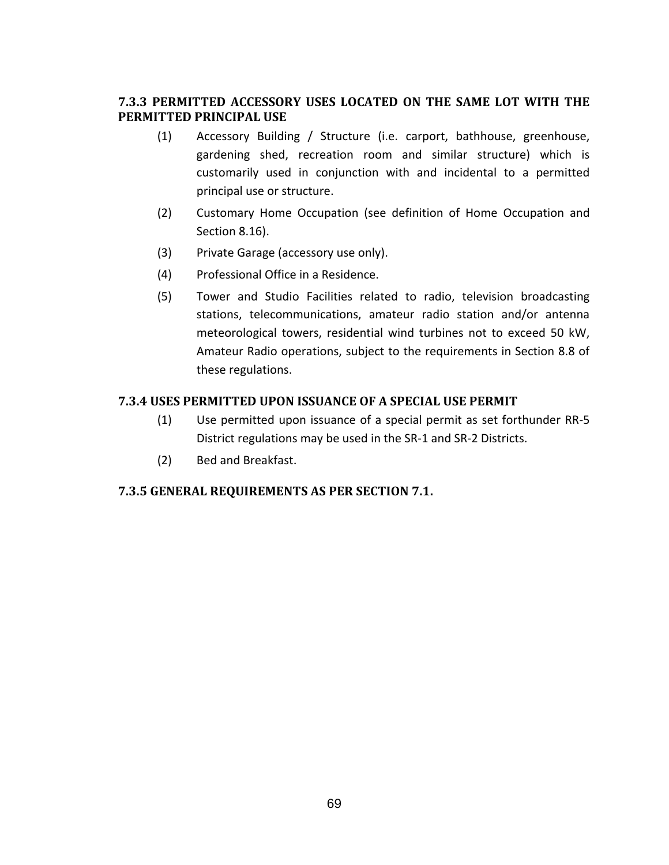### **7.3.3 PERMITTED ACCESSORY USES LOCATED ON THE SAME LOT WITH THE PERMITTED PRINCIPAL USE**

- (1) Accessory Building / Structure (i.e. carport, bathhouse, greenhouse, gardening shed, recreation room and similar structure) which is customarily used in conjunction with and incidental to a permitted principal use or structure.
- (2) Customary Home Occupation (see definition of Home Occupation and Section 8.16).
- (3) Private Garage (accessory use only).
- (4) Professional Office in a Residence.
- (5) Tower and Studio Facilities related to radio, television broadcasting stations, telecommunications, amateur radio station and/or antenna meteorological towers, residential wind turbines not to exceed 50 kW, Amateur Radio operations, subject to the requirements in Section 8.8 of these regulations.

### **7.3.4 USES PERMITTED UPON ISSUANCE OF A SPECIAL USE PERMIT**

- (1) Use permitted upon issuance of a special permit as set forthunder RR-5 District regulations may be used in the SR-1 and SR-2 Districts.
- (2) Bed and Breakfast.

### **7.3.5 GENERAL REQUIREMENTS AS PER SECTION 7.1.**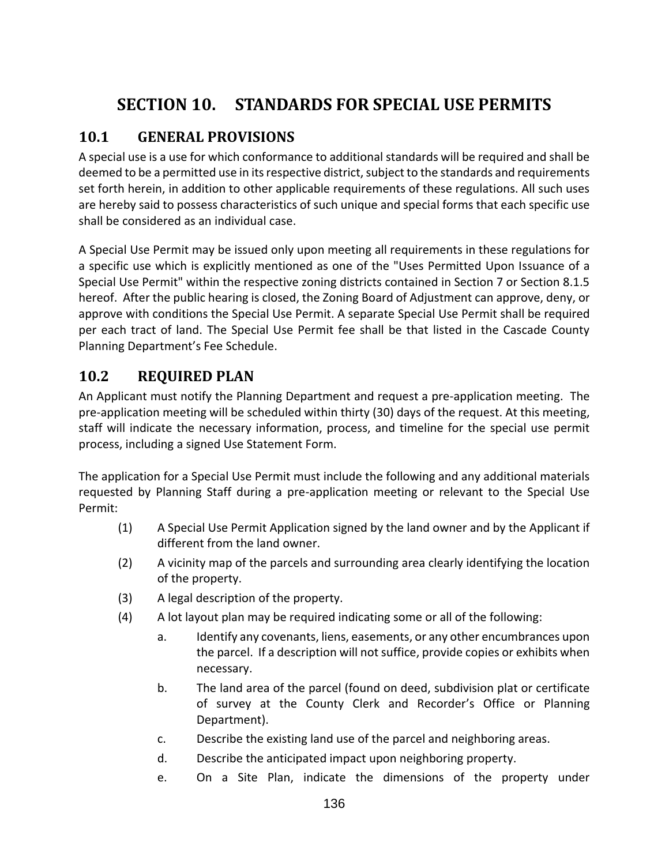# **SECTION 10. STANDARDS FOR SPECIAL USE PERMITS**

# **10.1 GENERAL PROVISIONS**

A special use is a use for which conformance to additional standards will be required and shall be deemed to be a permitted use in its respective district, subject to the standards and requirements set forth herein, in addition to other applicable requirements of these regulations. All such uses are hereby said to possess characteristics of such unique and special forms that each specific use shall be considered as an individual case.

A Special Use Permit may be issued only upon meeting all requirements in these regulations for a specific use which is explicitly mentioned as one of the "Uses Permitted Upon Issuance of a Special Use Permit" within the respective zoning districts contained in Section 7 or Section 8.1.5 hereof. After the public hearing is closed, the Zoning Board of Adjustment can approve, deny, or approve with conditions the Special Use Permit. A separate Special Use Permit shall be required per each tract of land. The Special Use Permit fee shall be that listed in the Cascade County Planning Department's Fee Schedule.

## **10.2 REQUIRED PLAN**

An Applicant must notify the Planning Department and request a pre-application meeting. The pre-application meeting will be scheduled within thirty (30) days of the request. At this meeting, staff will indicate the necessary information, process, and timeline for the special use permit process, including a signed Use Statement Form.

The application for a Special Use Permit must include the following and any additional materials requested by Planning Staff during a pre-application meeting or relevant to the Special Use Permit:

- (1) A Special Use Permit Application signed by the land owner and by the Applicant if different from the land owner.
- (2) A vicinity map of the parcels and surrounding area clearly identifying the location of the property.
- (3) A legal description of the property.
- (4) A lot layout plan may be required indicating some or all of the following:
	- a. Identify any covenants, liens, easements, or any other encumbrances upon the parcel. If a description will not suffice, provide copies or exhibits when necessary.
	- b. The land area of the parcel (found on deed, subdivision plat or certificate of survey at the County Clerk and Recorder's Office or Planning Department).
	- c. Describe the existing land use of the parcel and neighboring areas.
	- d. Describe the anticipated impact upon neighboring property.
	- e. On a Site Plan, indicate the dimensions of the property under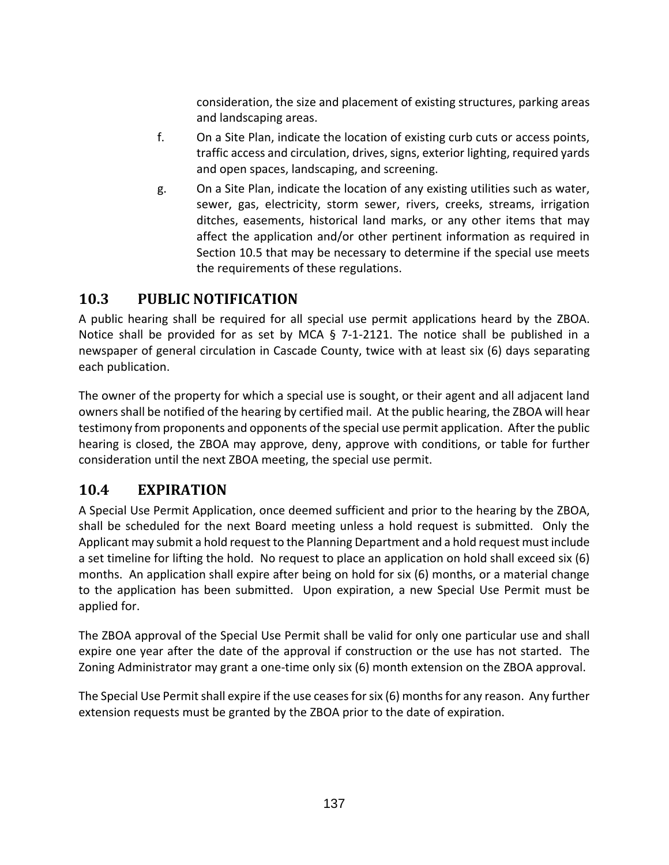consideration, the size and placement of existing structures, parking areas and landscaping areas.

- f. On a Site Plan, indicate the location of existing curb cuts or access points, traffic access and circulation, drives, signs, exterior lighting, required yards and open spaces, landscaping, and screening.
- g. On a Site Plan, indicate the location of any existing utilities such as water, sewer, gas, electricity, storm sewer, rivers, creeks, streams, irrigation ditches, easements, historical land marks, or any other items that may affect the application and/or other pertinent information as required in Section 10.5 that may be necessary to determine if the special use meets the requirements of these regulations.

## **10.3 PUBLIC NOTIFICATION**

A public hearing shall be required for all special use permit applications heard by the ZBOA. Notice shall be provided for as set by MCA § 7-1-2121. The notice shall be published in a newspaper of general circulation in Cascade County, twice with at least six (6) days separating each publication.

The owner of the property for which a special use is sought, or their agent and all adjacent land owners shall be notified of the hearing by certified mail. At the public hearing, the ZBOA will hear testimony from proponents and opponents of the special use permit application. After the public hearing is closed, the ZBOA may approve, deny, approve with conditions, or table for further consideration until the next ZBOA meeting, the special use permit.

# **10.4 EXPIRATION**

A Special Use Permit Application, once deemed sufficient and prior to the hearing by the ZBOA, shall be scheduled for the next Board meeting unless a hold request is submitted. Only the Applicant may submit a hold request to the Planning Department and a hold request must include a set timeline for lifting the hold. No request to place an application on hold shall exceed six (6) months. An application shall expire after being on hold for six (6) months, or a material change to the application has been submitted. Upon expiration, a new Special Use Permit must be applied for.

The ZBOA approval of the Special Use Permit shall be valid for only one particular use and shall expire one year after the date of the approval if construction or the use has not started. The Zoning Administrator may grant a one-time only six (6) month extension on the ZBOA approval.

The Special Use Permit shall expire if the use ceases for six (6) months for any reason. Any further extension requests must be granted by the ZBOA prior to the date of expiration.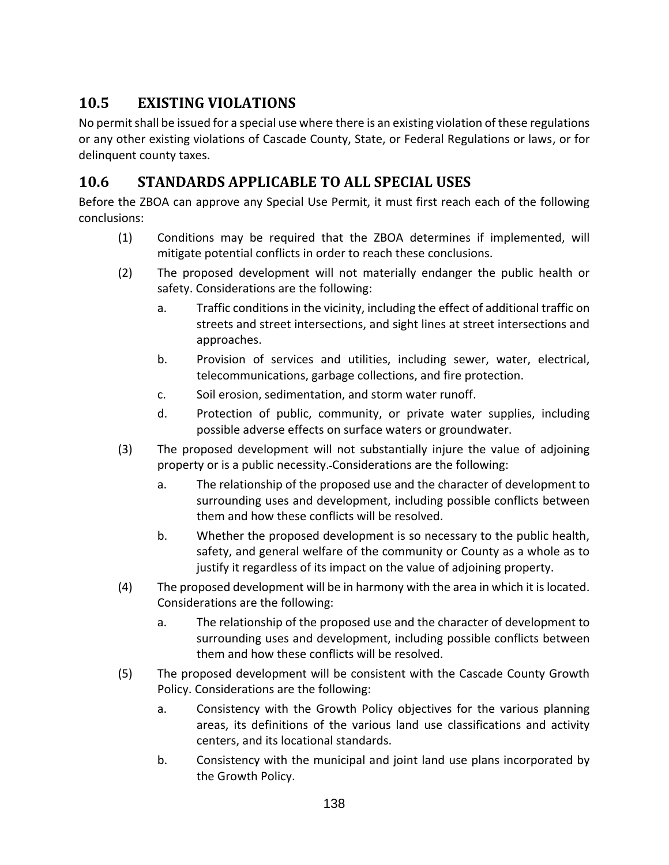# **10.5 EXISTING VIOLATIONS**

No permit shall be issued for a special use where there is an existing violation of these regulations or any other existing violations of Cascade County, State, or Federal Regulations or laws, or for delinquent county taxes.

# **10.6 STANDARDS APPLICABLE TO ALL SPECIAL USES**

Before the ZBOA can approve any Special Use Permit, it must first reach each of the following conclusions:

- (1) Conditions may be required that the ZBOA determines if implemented, will mitigate potential conflicts in order to reach these conclusions.
- (2) The proposed development will not materially endanger the public health or safety. Considerations are the following:
	- a. Traffic conditions in the vicinity, including the effect of additional traffic on streets and street intersections, and sight lines at street intersections and approaches.
	- b. Provision of services and utilities, including sewer, water, electrical, telecommunications, garbage collections, and fire protection.
	- c. Soil erosion, sedimentation, and storm water runoff.
	- d. Protection of public, community, or private water supplies, including possible adverse effects on surface waters or groundwater.
- (3) The proposed development will not substantially injure the value of adjoining property or is a public necessity. Considerations are the following:
	- a. The relationship of the proposed use and the character of development to surrounding uses and development, including possible conflicts between them and how these conflicts will be resolved.
	- b. Whether the proposed development is so necessary to the public health, safety, and general welfare of the community or County as a whole as to justify it regardless of its impact on the value of adjoining property.
- (4) The proposed development will be in harmony with the area in which it is located. Considerations are the following:
	- a. The relationship of the proposed use and the character of development to surrounding uses and development, including possible conflicts between them and how these conflicts will be resolved.
- (5) The proposed development will be consistent with the Cascade County Growth Policy. Considerations are the following:
	- a. Consistency with the Growth Policy objectives for the various planning areas, its definitions of the various land use classifications and activity centers, and its locational standards.
	- b. Consistency with the municipal and joint land use plans incorporated by the Growth Policy.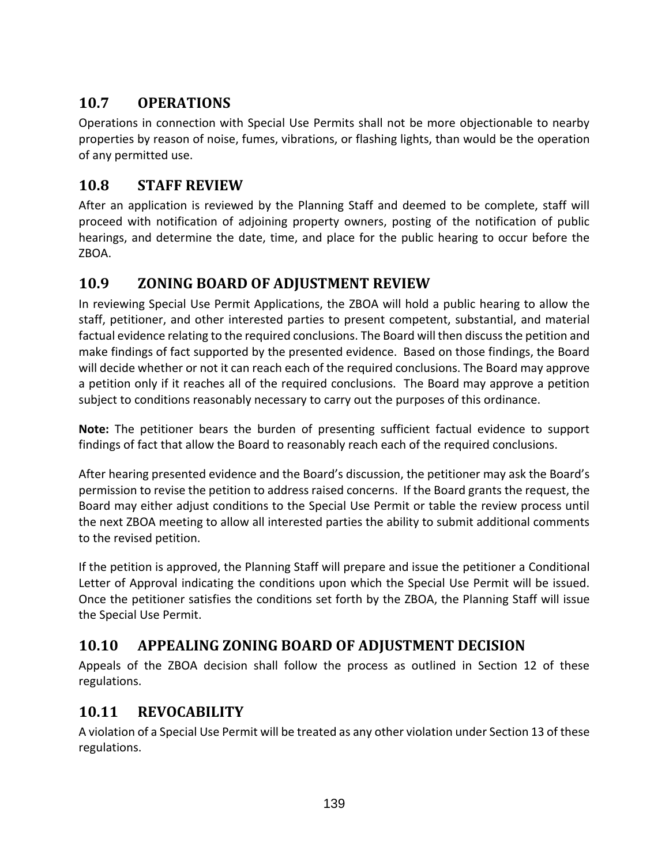# **10.7 OPERATIONS**

Operations in connection with Special Use Permits shall not be more objectionable to nearby properties by reason of noise, fumes, vibrations, or flashing lights, than would be the operation of any permitted use.

## **10.8 STAFF REVIEW**

After an application is reviewed by the Planning Staff and deemed to be complete, staff will proceed with notification of adjoining property owners, posting of the notification of public hearings, and determine the date, time, and place for the public hearing to occur before the ZBOA.

# **10.9 ZONING BOARD OF ADJUSTMENT REVIEW**

In reviewing Special Use Permit Applications, the ZBOA will hold a public hearing to allow the staff, petitioner, and other interested parties to present competent, substantial, and material factual evidence relating to the required conclusions. The Board will then discuss the petition and make findings of fact supported by the presented evidence. Based on those findings, the Board will decide whether or not it can reach each of the required conclusions. The Board may approve a petition only if it reaches all of the required conclusions. The Board may approve a petition subject to conditions reasonably necessary to carry out the purposes of this ordinance.

**Note:** The petitioner bears the burden of presenting sufficient factual evidence to support findings of fact that allow the Board to reasonably reach each of the required conclusions.

After hearing presented evidence and the Board's discussion, the petitioner may ask the Board's permission to revise the petition to address raised concerns. If the Board grants the request, the Board may either adjust conditions to the Special Use Permit or table the review process until the next ZBOA meeting to allow all interested parties the ability to submit additional comments to the revised petition.

If the petition is approved, the Planning Staff will prepare and issue the petitioner a Conditional Letter of Approval indicating the conditions upon which the Special Use Permit will be issued. Once the petitioner satisfies the conditions set forth by the ZBOA, the Planning Staff will issue the Special Use Permit.

# **10.10 APPEALING ZONING BOARD OF ADJUSTMENT DECISION**

Appeals of the ZBOA decision shall follow the process as outlined in Section 12 of these regulations.

# **10.11 REVOCABILITY**

A violation of a Special Use Permit will be treated as any other violation under Section 13 of these regulations.